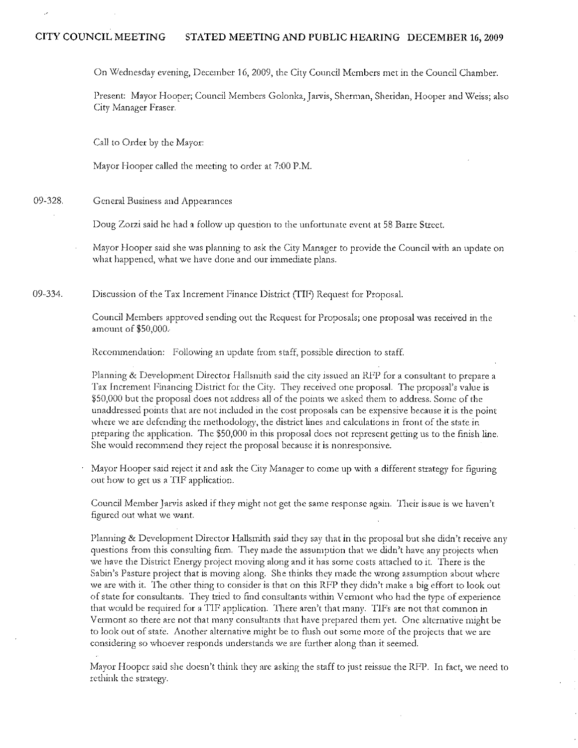# CITY COUNCIL MEETING STATED MEETING AND PUBLIC HEARING DECEMBER 16, 2009

On Wednesday evening, December 16, 2009, the City Council Members met in the Council Chamber.

Present: Mayor Hooper; Council Members Golonka, Jarvis, Sherman, Sheridan, Hooper and Weiss; also City Manager Fraser.

Call to Order by the Mayor:

Mayor Hooper called the meeting to order at 7:00 P.M.

09-328. General Business and Appearances

Doug Zorzi said he had a follow up question to the unfortunate event at 58 Barre Street.

Mayor Hooper said she was planning to ask the City Manager to provide the Council with an update on what happened, what we have done and our immediate plans.

09-334. Discussion of the Tax Increment Finance District (TIF) Request for Proposal.

> Council Members approved sending out the Request for Proposals; one proposal was received in the amount of \$50,000.

Recommendation: Following an update from staff, possible direction to staff.

Phnning & Development Director Hallsmith said the city lssued an RFP for a consultant to prepare a Tax Increment Financing District for the City. They received one proposal. The proposal's value is \$50,000 but the proposal does not address all of the points we asked them to address. Some of the unaddressed points that are not included in the cost proposals can be expensive because it is the point where we are defending the methodology, the district lines and calculations in front of the state in preparing the application. The \$50,000 in this proposal does not represent getting us to the finish line. She would recommend they reject the proposal because it is nonresponsive.

Mayor Hooper said reject it and ask the City Manager to come up with a different strategy for figuring out how to get us a TIF application.

Council Member Jarvis asked if they might not get the same response again. Their issue is we haven't· figured out what we want.

Planning & Development Director Hallsmith said they say that in the proposal but she didn't receive any questions from this consulting firm. They made the assumption that we didn't have any projects when we have the District Energy project moving along and it has some costs attached to it. There is the Sabin's Pasture project that is moving along. She thinks they made the wrong assumption about where we are with it. The other thing to consider is that on this RFP they didn't make a big effort to look out of state for consultants. They tried to find consultants within Vermont who had the type of experience that would be required for a TIF application. There aren't that many. TIFs are not that common in Vermont so there arc not that many consultants that have prepared them *yet.* One alternative might be to look out of state. Another alternative might be to flush out some more of the projects that we are considering so whoever responds understands we are further along than it seemed.

Mayor Hooper said she doesn't think they arc asking the staff to just reissue the RFP. In fact, we need to rethink the strategy.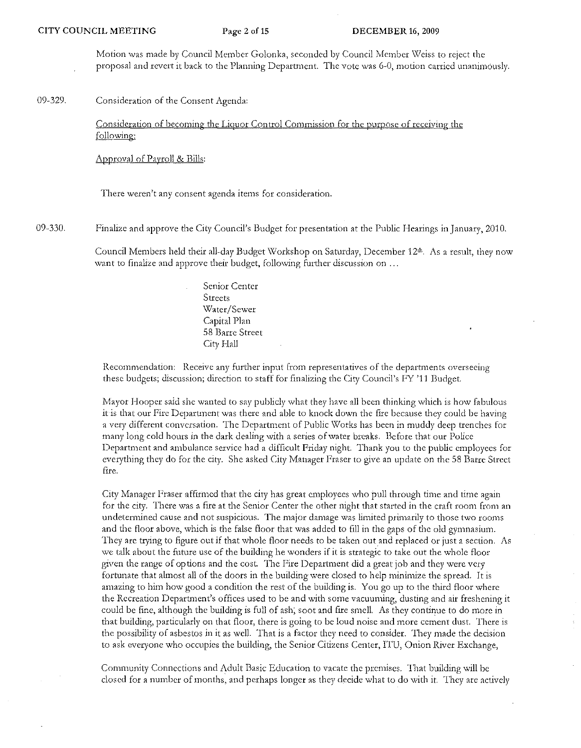Motion was made by Council Member Golonka, seconded by Council Member Weiss to reject the proposal and revert it back to the Planning Department. The vote was 6-0, motion carried unanimously.

09-329. Consideration of the Consent Agenda:

> Consideration of becoming the Liquor Control Commission for the purpose of receiving the following:

Approval of Payroll & Bills:

There weren't any consent agenda items for consideration.

09-330. Finalize and approve the City Council's Budget for presentation at the Public Hearings in January, 2010.

> Council Members held their all-day Budget Workshop on Saturday, December 12th, As a result, they now want to finalize and approve their budget, following further discussion on ...

> > Senior Center Streets Water/Sewer Capital Plan 58 Barre Street City Hall

Recommendation: Receive any further input from representatives of the departments overseeing these budgets; discussion; direction to staff for finalizing the City Council's FY '11 Budget.

Mayor Hooper said she wanted to say publicly what they have all been thinking which is how fabulous it is that our Fire Department was there and able to knock down the fire because they could be having a very different conversation. The Department of Public Works has been in muddy deep trenches for many long cold hours in the dark dealing with a series of water breaks, Before that our Police Department and ambulance service had a difficult Friday night. Thank you to the public employees for everything they do for the city. She asked City Manager Fraser to give an update on the 58 Batre Street fire.

City Manager F'raser afflrmed that the city has great employees who pull through time and time again for the city. There was a fire at the Senior Center the other night that started in the craft room from an undetermined cause and not suspicious. The major damage was limited primarily to those two rooms and the floor above, which is the false floor that was added to fill in the gaps of the old gymnasium. They arc trying to figure out if that whole floor needs to be taken outand replaced or just a section. As we talk about the future use of the building he wonders if it is strategic to take out the whole floor given the range of options and the cost. The Fire Department did a great job and they were very fortunate that almost all of the doors in the building were closed to help minimize the spread. It is amazing to him how good a condition the rest of the building is. You go up to the third floor where the Recreation Department's offices used to be and with some vacuuming, dusting and air freshening it could be fine, although the building is full of ash; soot and fire smell. As they continue to do more in that building, particularly on that floor, there is going to be loud noise and more cement dust. There is the possibility of asbestos in it as well. That is a factor they need to consider. They made the decision to ask everyone who occupies the building, the Senior Citizens Center, ITU, Onion River Exchange,

Community Connections and Adult Basic Education to vacate the premises. That building will be closed for a number of months, and perhaps longer as they decidc what to do with it. They arc actively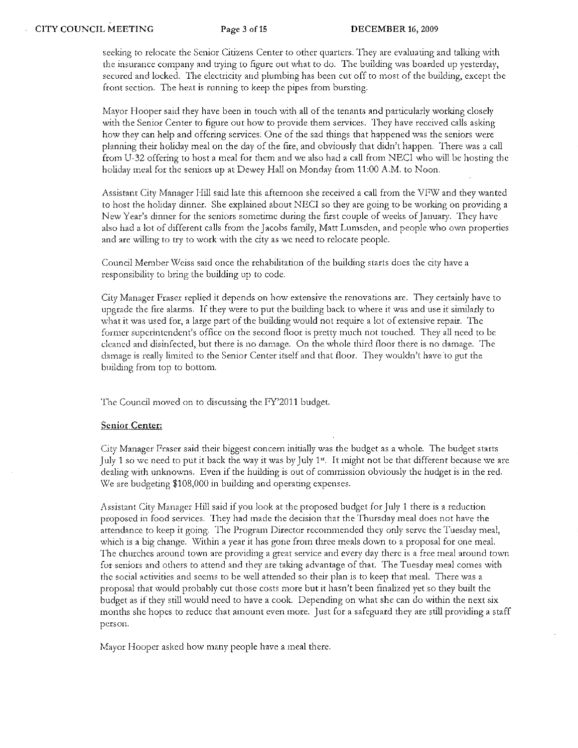seeking to relocate the Senior Citizens Center to other quarters. They are evaluating and talking with the insurance company and trying to figure out what to do. The building was boarded up yesterday, secured and locked. The electricity and plumbing has been cut off to most of the building, except the front section. The heat is running to keep the pipes from bursting.

Mayor Hooper said they have been in touch with all of the tenants and particularly working closely with the Senior Center to figure out how to provide them services. They have received calls asking how they can help and offering services. One of the sad things that happened was the seniors were planning their holiday meal on the day of the fire, and obviously that didn't happen. There was a call from U-32 offering to host a meal for them and we also had a call from NECl who will be hosting the holiday meal for the seniors up at Dewey Hall on Monday from 11:00 A.M. to Noon.

Assistant City Manager Hill said late this afternoon she received a call from the VFW and they wanted to host the holiday dinner. She explained about NECI so they are going to be working on providing a New Year's dinner for the seniors sometime during the first couple of weeks of January. They have also had a lot of different calls from the Jacobs family, Matt Lumsden, and people who own properties and arc willing to try to work with the city as we need to relocate people.

Council Member Weiss said once the rehabilitation of the building starts does the city have a responsibility to bring the building up to code.

City Manager Fraser replied it depends on how extensive the renovations arc. They certainly have to upgrade the fire alarms. If they were to put the building back to where it was and use it similarly to what it was used for, a large part of the building would not require a lot of extensive repair. The former superintendent's office on the second floor is pretty much not touched. They all need to be cleaned and disinfected, but there is no damage. On the whole third floor there is no damage. The damage is really limited to the Senior Center itself and that floor. They wouldn't have 'to gut the building from top to bottom.

The Council moved on to discussing the FY'2011 budget.

### **Senior Center:**

City Manager Fraser said their biggest concern initially was the budget as a whole. The budget starts July 1 so we need to put it back the way it was by July 1st. It might not be that different because we are dealing with unknowns. Even if the huilding is out of commission obviously the hudget is in the red. We are budgeting \$108,000 in building and operating expenses.

Assistant City Manager Hill said if you look at the proposed budget for July 1 there is a reduction proposed in food services. They had made the decision that the Thursday meal does not have the attendance to keep it going. The Program Director recommended they only serve the Tuesday meal, which is a big change. Within a year it has gone from three meals down to a proposal for one meal. The churches around town are providing a great service and every day there is a free meal around town for seniors and others to attend and they are taking advantage of that. The Tuesday meal comes with the social activities and seems to be well attended so their plan is to keep that meal. There was a proposal that would probably cut those costs more but it hasn't been finalized yet so they built the budget as if they still would need to have a cook. Depending on what she can do within the next six months she hopes to reduce that amount even more. Just for a safeguard they are still providing a staff person.

Mayor Hooper asked bow many people have a meal there.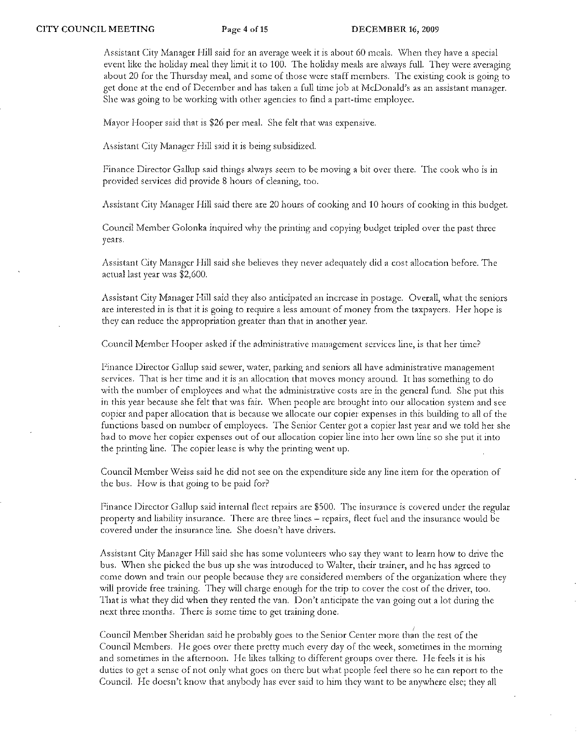Assistant City Manager Hill said for an average week it is about 60 meals. When they have a special event like the holiday meal they limit it to 100. The holiday meals are always full. They were averaging about 20 for the Thursday meal, and some of those were staff members. The existing cook is going to get done at the end of December and has taken a full time job at McDonald's as an assistant manager. She was going to be working with other agencies to find a part-time employee.

Mayor Hooper said that is \$26 per meal. She felt that was expensive.

Assistant City Manager Hill said it is being subsidized.

Finance Director Gallup said things always seem to be moving a bit over there. The cook who is in provided services did provide 8 hours of cleaning, too.

Assistant City Manager Hill said there are 20 hours of cooking and 10 hours of cooking in this budget.

Council Member Golonka inquired why the printing and copying budget tripled over the past three years.

Assistant City Manager Hill said she believes they never adequately did a cost allocation before. The actual last year was \$2,600.

Assistant City Manager Hill said they also anticipated an increase in postage. Overall, what the seniors arc interested in is that it is going to require a less amount of money from the taxpayers. Her hope is they can reduce the appropriation greater than that in another year.

Council Member Hooper asked if the adrninistrative management services line, is that her time?

Finance Director Gallup said sewer, water, parking and seniors all have administrative management services. That is her time and it is an allocation that moves money around. It has something to do with the number of employees and what the administrative costs are in the general fund. She put this in this year because she felt that was fair. When people are brought into our allocation system and see copier and paper allocation that is because we allocate our copier expenses in this building to all of the functions based on number of employees. The Senior Center got a copier last year and we told her she had to move her copier expenses out of our allocation copier line into her own line so she put it into the printing line. The copier lease is why the printing went up.

Council Member Weiss said he did not sec on the expenditure side any line item for the operation of the bus. How is that going to be paid for?

Finance Director Gallup said internal fleet repairs are \$500. The insurance is covered under the regular property and liability insurance. There are three lines - repairs, fleet fuel and the insurance would be covered under the insurance line. She doesn't have drivers,

Assistant City Manager Hill said she has some volunteers who say they want to learn how to drive the bus. When she picked the bus up she was introduced to Walter, their trainer, and he has agreed to come down and train our people because they are considered members of the organization where they will provide free training. They will charge enough for the trip to cover the cost of the driver, too. That is what they did when they rented the van. Don't anticipate the van going out a lot during the next three months. There is some time to get training done.

Council Member Sheridan said he probably goes to the Senior Center more than the rest of the Council Members. He goes over there pretty much every day of the week, sometimes in the morning and sometimes in the afternoon. He likes talking to different groups over there. He feels it is his duties to get a sense of not only what goes on there but what people feel there so he can report to the Council. He doesn't know that anybody has ever said to him they want to be anywhere else; they all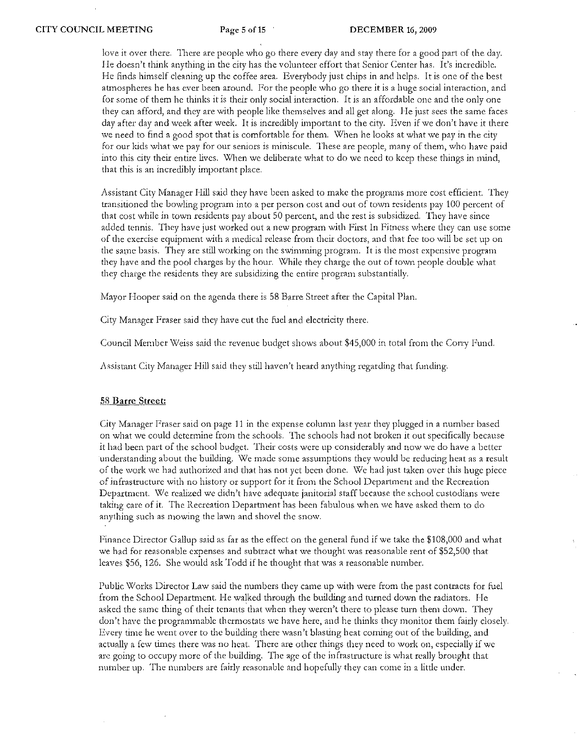love it over there. There arc people who go there every day and stay there for a good part of the day. He doesn't think anything in the city has the volunteer effort that Senior Center has. It's incredible. He finds himself cleaning up the coffee area. Everybody just chips in and helps. It is one of the best atmospheres he has ever been around. For the people who go there it is a huge social interaction, and for some of them he thinks it is their only social interaction. It is an affordable one and the only one they can afford, and they arc with people like themselves and all get along. He just sees the same faces day after day and week after week. It is incredibly important to the city. Even if we don't have it there we need to find a good spot that is comfortable for them. When he looks at what we pay in the city for our kids what we pay for our seniors is miniscule. These are people, many of them, who have paid into this city their entire lives. When we deliberate what to do we need to keep these things in mind, that this is an incredibly important place.

Assistant City Manager Hill said they have been asked to make the programs more cost efficient. They transitioned the bowling program into a per person cost and out of town residents pay 100 percent of that cost while in town residents pay about 50 percent, and the rest is subsidized. They have since added tennis. They have just worked out a new program with First In F'itness where they can use some of the exercise equipment with a medical release from their doctors, and that fee too will be set up on the same basis. They are still working on the swimming program. It is the most expensive program they have and the pool charges by the hour. While they charge the out of town people double what they charge the residents they are subsidizing the entire program substantially.

Mayor Hooper said on the agenda there is 58 Barre Street after the Capital Plan.

City Manager Fraser said they have cut the fuel and electricity there.

Council Member Weiss said the revenue budget shows about \$45,000 in total from the Corry Fund.

Assistant City Manager Hill said they still haven't heard anything regarding that funding.

#### 58 **Barre Street:**

City Manager Fraser said on page 11 in thc expense column last year they plugged in a number based on what we could determine from the schools. The schools had not broken it out specifically because it had been part of the school budget. Their costs were up considerably and now we do have a better understanding about the building. We made some assumptions they would be reducing heat as a result of the work \ve had authorized and that has not yet been done. \Y/e had just taken over this huge piece of infrastructure with no history or support for it from the School Department and the Recreation Department. We realized we didn't have adequate janitorial staff because the school custodians were taking care of it. The Recreation Department has been fabulous when we have asked them to do anything such as mowing the lawn and shovel the snow.

Finance Director Gallup said as far as the effect on the general fund if we take the \$108,000 and what we had for reasonable expenses and subtract what we thought was reasonable rent of \$52,500 that leaves \$56, 126. She would ask Todd if he thought that was a reasonable number.

Public Works Director Law said the numbers they came up with were from the past contracts for fuel from the School Department. He walked through the building and turned down the radiators. He asked the same thing of theit tenants that when they weren't there to please turn them down, They don't have the programmable thermostats we have here, and he thinks they monitor them fairly closely. Every time he went over to the building there wasn't blasting heat coming out of the building, and actually a few times there was no heat. There are other things they need to work on, especially if we arc going to occupy more of the building. The age of the infrastructure is what really brought that number up. The numbers arc fairly reasonable and hopefully they can come in a little under.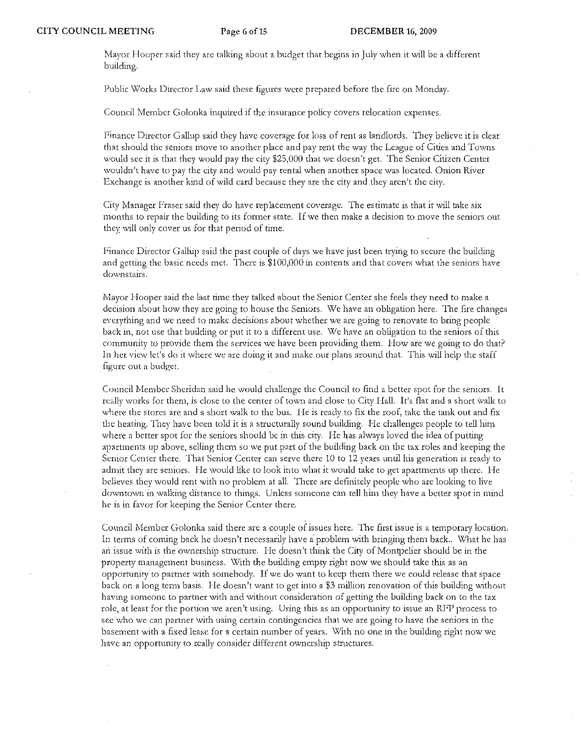Mayor Hooper said they are talking about a budget that begins in July when it will be a different building.

Public Works Director Law said these figures were prepared before the fire on Monday.

Council Member Golonka inquired if the insurance policy covers relocation expenses.

Finance Director Gallup said they have coverage for loss of rent as landlords. They believe it is clear that should the seniors move to another place and pay rent the way the League of Cities and Towns would sec it is that they would pay the city \$25,000 that we doesn't get. The Senior Citizen Center wouldn't have to pay the city and would pay rental when another space was located. Onion River Exchange is another kind of wild card because they are the city and they aren't the city.

City Manager Fraser said they do have replacement coverage. The estimate is that it will take six months to repair the building to its former state. If we then make a decision to move the seniors out they' will only cover us for that period of time.

Finance Director Gallup said the past couple of days we have just been trying to secure the building and getting the basic needs met. 'fherc is \$100,000 in contents and that COVers what the seniors have downstairs.

Mayor Hooper said the last time they talked about the Senior Center she feels they need to make a decision about how they arc going to house the Seniors, \Ve have an obligation here. The fire changes everything and we need to make decisions about whether we are going to renovate to bring people back in, not use that building or put it to a different use. We have an obligation to the seniors of this community to provide them the services we have been providing them. How are we going to do that? In her view let's do it where we are doing it and make our plans around that. This will help the staff figurc out a budget.

Council Member Sheridan said he would challenge the Council to find a better spot for the seniors. It really works for them, is close to the center of town and close to City Hall. It's flat and a short walk to where the stores are and a short walk to the bus. He is ready to fix the roof, take the tank out and fix the heating. They have been told it is a structurally sound building. He challenges people to tell him where a better spot for the seniors should be in this city. He has always loved the idea of putting apartments up above, selling them so we put part of the building back on the tax roles and keeping the Senior Center there. That Senior Center can serve there 10 to 12 years until his generation is ready to admit they are seniors. He would like to look into what it would take to get apartments up there. He believes they would rent with no problem at all. There are definitely people who are looking to live downtown in walking distance to things. Unless someone can tell him they have a better spot in mind he is in favor for keeping the Senior Center there.

Council Member Golonka said there are a couple of issues here. The first issue is a temporary location. In terms of coming back he doesn't necessarily have a' problem with bringing them back .. What he has an issue with is the ownership structure. He doesn't think the City of Montpelier should be in the property management business. With the building empty right now we should take this as an opportunity to partner with somebody. If we do want to keep them there we could release that space back on a long term basis, He doesn't want to get into a \$3 million renovation of this building without having someone to partner with and without consideration of getting the building back on to the tax role, at least for the portion we aren't using. Using this as an opportunity to issue an RFP process to sec who we can partner with using certain contingencies that we are going to have the seniors in the basement with a fixed lease for a certain number of years. With no one in the building right now we have an opportunity to really consider different ownership structures.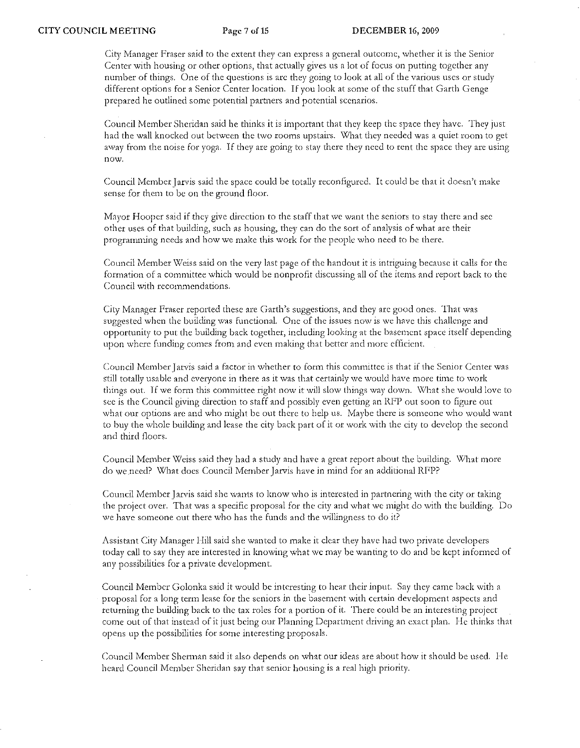City Manager Fraser said to the extent they can express a general outcome, whether it is the Senior Center with housing or otber options, that actually gives us a lot of focus on putting together any number of things. One of the questions is arc they going to look at all of the various uses or study different options for a Senior Center location. If you look at some of the stuff that Garth Genge prepared he outlined some potential partners and potential scenarios.

Council Member Sheridan said he thinks it is important that they keep the space they have. 'I'hey just had the wall knocked out between the two rooms upstairs. What they needed was a quiet room to get away from the noise for yoga. If they are going to stay there they need to rent thc space they arc using now,

Council Member Jarvis said the space could be totally reconfigured. It could be that it doesn't make sense for them to be on the ground floor.

Mayor Hooper said if they give direction to the staff that we want the seniors to stay there and sec other uses of that building, such as housing, they can do the sort of analysis of what arc thcir programming needs and how we make this work for the people who need to be there.

Council Member Weiss said on the very last page of the handout it is intriguing because it calls for the formation of a committee which would be nonprofit discussing all of the items and report back to the Council with reconuncndations.

City Manager Fraser reported thesc are Garth's suggestions, and thcy arc good ones. That was suggested when the building was functional. One of the issues now is we have this challenge and opportunity to put the building back together, including looking at the bascment space itself depending upon where funding comes from and even making that better and more cfficient.

Council Member Jarvis said a factor in whether to form this committee is that if the Senior Center was still totally usable and everyone in there as it was that certainly we would have more time to work things out. If we form this committee right now it will slow things way down, \)(/hat she would love to see is the Council giving direction to staff and possibly even getting an RFP out soon to figure out what our options are and who might be out there to help us. Maybe there is someone who would want to buy the whole building and lease the city back part of it or work with the city to develop the second and third floors.

Council Member Weiss said they had a study and have a great report about the building. What more do we need? What does Council Member Jarvis have in mind for an additional RFP?

Council Member Jarvis said she wants to know who is interested in partnering with the city or taking the project over, That \vas a specific proposal for the city and what we might do with the building, Do we havc someone out there who has the funds and the willingness to do it?

Assistant City Manager Hill said she wanted to make it clear they have had two private developers today call to say they are interested in knowing what we may be wanting to do and be kept informed of any possibilities for a private development

Council Membcr Golonka said it would be interesting to hear their input. Say they came back with a proposal for a long term lease for the scniors in the basemcnt with certain development aspects and returning the building back to the tax roles for a portion of it. There could be an interesting project come out of that instead of it just being our Planning Department driving an exact plan. He thinks that opens up the possibilities for some interesting proposals.

Council Member Sherman said it also depends on what our ideas are about how it should be used. He heard Council Member Sheridan say that scnior housing is a fcal high priority,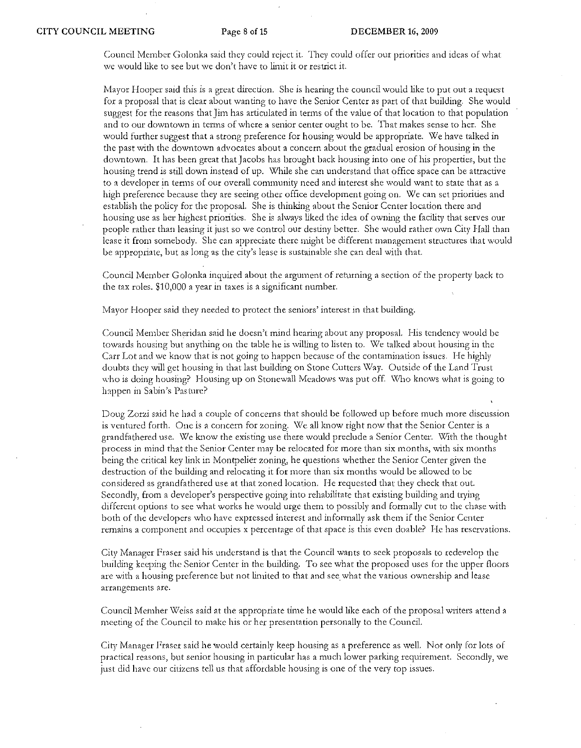Council Member Golonka said they could reject it. They could offer our priorities and ideas of what we would like to sec but we don't have to limit it or restrict it.

Mayor Hooper said this is a great direction. She is hearing the council would like to put out a request for a proposal that is clear about wanting to have the Senior Center as part of that building. She would suggest for the reasons that Jim has articulated in terms of the value of that location to that population and to our downtown in terms of where a senior center ought to be. That makes sense to her. She would further suggest that a strong preference for housing would be appropriate. We have talked in the past with the downtown advocates about a concern about the gradual erosion of housing in the downtown. It has been great that Jacobs has brought back housing into one of his properties, but the housing trend is still down instead of up. \X'hile she can understand that office space can be attractive to a developer in terms of our overall community need and interest she would want to state that as a high preference because they are seeing other office development going on. We can set priorities and establish the policy for the proposaL She is thinking about the Senior Center location there and housing use as her highest priorities. She is always liked the idea of owning the facility that serves our people rather than leasing it just so we control our destiny better. She would rathcr own City Hall than lease it from somebody. She can appreciate there might be different management structures that would be appropriate, but as long as the city's lease is sustainable she can dcal with that.

Council Member Golonka inquired about the argument of returning a section of the property back to the tax roles. \$10,000 a year in taxes is a significant number.

Mayor Hooper said they needed to protect the seniors' interest in that building.

Council Member Sheridan said he doesn't mind hearing about any proposal. His tendency would be towards housing but anything on the table he is willing to listen to. We talked about housing in the Can Lot and we know that is not going to happen because of the contamination issues. He highly doubts they will get housing in that last building on Stone Cutters Way. Outside of the Land Trust who is doing housing? Housing up on Stonewall Meadows was put off. Who knows what is going to happen in Sabin's Pasture?

Doug Zorzi said he had a couple of concerns that should be followed up before much more discussion is ventured forth. One is a concern for zoning. We all know right now that the Senior Center is a grandfathered use. We know the existing use there would preclude a Senior Center. With the thought process in mind that the Senior Center may be relocated for more than six months, with six months being the critical key link in Montpelier zoning, he questions whether the Senior Center given the destruction of the building and relocating it for more than six months would be allowed to be considered as grandfathercd use at that zoned location. He requested that they check that out. Secondly, from a developer's perspective going into rehabilitate that existing building and trying different options to see what works he would urge them to possibly and formally cut to the chase with both of the developers who have expressed interest and informally ask them if the Senior Center remains a component and occupies x percentage of that space is this even doable? He has reservations.

City Manager Fraser said his understand is that the Council wants to seek proposals to redevelop the building keeping the Senior Center in the building. To see what the proposed uses for the upper floors are with a housing preference but not limited to that and see what the various ownership and lease arrangements are.

Council Memher Weiss said at the appropriate time he would like each of the proposal writers attend a meeting of the Council to make his or her presentation personally to the CounciL

City Manager f'raser said he would certainly keep housing as a preference as well. Not only for lots of practical reasons, but senior housing in particular has a much lower parking requirement. Secondly, we just did have out citizens tell us that affordable housing is one of the very top issues.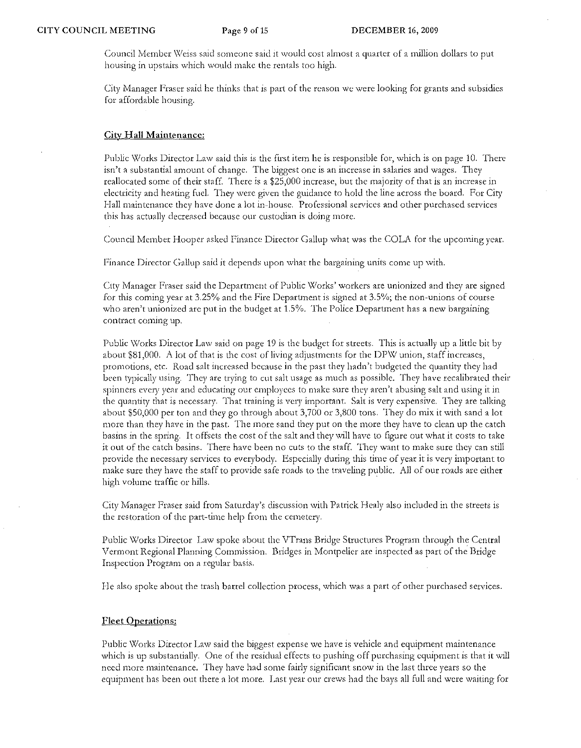Council Member Weiss said someone said it would cost almost a quarter of a million dollars to put housing in upstairs which would make the rentals too high.

City Manager Fraser said he thinks that is part of the reason we were looking for grants and subsidies for affordable housing.

### City Hall Maintenance:

Public Works Director Law said this is the first item he is responsible for, which is on page 10. There isn't a substantial amount of change. The biggest one is an increase in salaries and wages. They reallocated some of their staff. There is a \$25,000 increase, but the majority of that is an increase in electricity and heating fuel. They were given the guidance to hold the line across the board. For City Hall maintenance they have done a lot in-house. Professional services and other purchased services this has actually decreased because our custodian is doing mote.

Council Member Hooper asked Finance Director Gallup what was the COLA for the upcoming year.

Finance Director Gallup said it depends upon what the bargaining units come up with.

City Manager Fraser said the Department of Public Works' workers are unionized and they are signed for this coming year at 3.25% and the Fire Department is signed at 3.5%; the non-unions of course who aren't unionized arc put in the budget at 1.5% • The Police Deparunent has a new bargaining contract coming up.

Public \X1orks Director Law said on page 19 is the budget for streets. This is actually up a little bit by about \$81,000. A lot of that is the cost of living adjustments for the DPW union, staff increases, promotions, etc. Road salt increased because in the past: they hadn't budgeted the quantity they had been typically using. They are trying to cut salt usage as much as possible. They have recalibrated their spinners every year and educating our employees to make sure they aren't abusing salt and using it in the quantity that is necessary. That training is very important. Salt is very expensive. They are talking about \$50)000 per ton and they go through about 3,700 or 3,800 tons. They do mix it with sand a lot more than they have in the past. The more sand they put on the more they have to clean up the catch basins in the spring. It offsets the cost of the salt and they will have to figure out what it costs to take it out of the catch basins. There have been no cuts to the staff. They want to make sure they can still provide the necessary services to everybody. Especially during this time of year it is very important to make sure they have the staff to provide safe roads to the traveling public. All of our roads are either high volume traffic or hills.

City Manager Fraser said from Saturday's discussion with Patrick Healy also included in the streets is the restoration of the part-time help from the cemetery.

Public Works Director Law spoke about the VTrans Bridge Structures Program through the Central Vermont Regional Planning Commission. Bridges in Montpelier are inspected as part of the Bridge Inspection Program on a regular basis.

He also spoke about the trash barrel collection process, which was a part of other purchased services.

## Fleet Operations:

Public Works Director Law said the biggest expense we have is vehicle and equipment maintenance which is up substantially. One of the residual effects to pushing off purchasing equipment is that it will need more maintenance. They have had some fairly significant snow in the last three yeats so the equipment has been out there a lot more. Last year our crews had the bays all full and were waiting for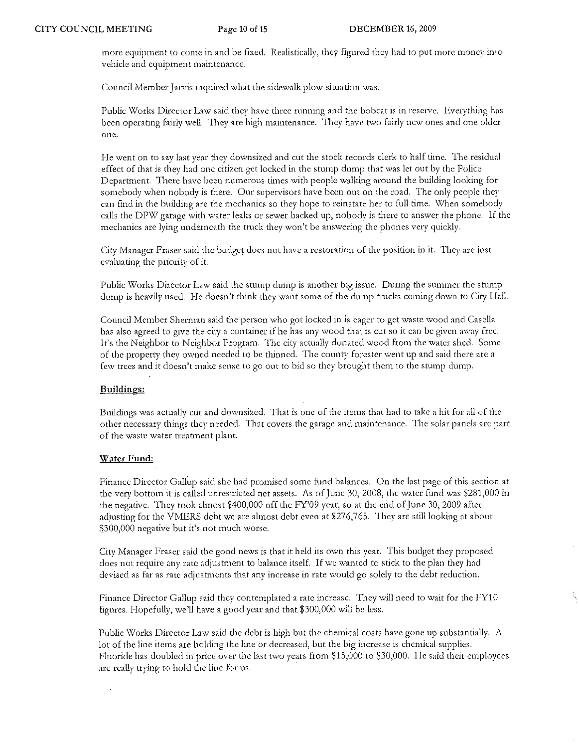morc equipment to come in and be fixed, Realistically, they figured they had to put more money into vehicle and equipment maintenance.

Council Member Jarvis inquired what the sidewalk plow situation was.

Public Works Director Law said they have three running and the bobcat is in reserve. Everything has been operating fairly welL T'hey are high maintenance. They have two fairly new ones and one older one.

He went on to say last year they downsized and cut the stock records clerk to half time. The residual effect of that is they had one citizen get locked in the stump dump that was let out by the Police Department. There have been numerous times with people walking around the building looking for somebody when nobody is there. Our supervisors have been out on the road. The only people they can find in the building are the mechanics so they hope to reinstate her to full time. \X!hen somebody calls the DPW garage with water leaks or sewer backed up, nobody is there to answer the phone. If the mechanics are lying underneath the truck they won't be answering the phones very quickly.

City Manager Fraser said the budget docs not have a restoration of the position in it'. They are just evaluating the priority of it.

Public Works Director Law said the stump dump is another big issue. During the summer thc stump dump is heavily used. He doesn't think they want some of the dump trucks coming down to City Hall.

Council Member Sherman said the person who got locked in is eager to get waste wood and Casella has also agreed to give the city a container ifhe has any wood that is cut so it can be given away free. It's the Neighbor to Neighbor Program. The city actually dunated wood from thc water shed. Some of the property they owned needed to be thinned. The county forester went up and said there are a fcw trees and it doesn't make scnse to go out to bid so they brought them to the stump dump.

# Buildings:

Buildings was actually cut and downsized. That is one of the items that had to take a hit for all of the other necessary things they needed. That covers the garage and maintenance. The solar panels arc part of the waste water treatment plant.

## Water Fund:

Finance Director Gallup said she had promised some fund balances. On the last page of this section at the very bottum it is called unrestricted net assets. As of June 30, 2008, the water fund was \$281,000 in the negative. They took almost \$400,000 off the FY'09 year, so at the end of June 30, 2009 after adjusting for the VMERS debt we arc almost debt even at \$276,765. They arc still looking at about \$300,000 negative but it's not much worse.

City Manager Fraser said the good news is that it held its own this year. This budget they pruposed does not require any rate adjustment to balance itself. If we wanted to stick to the plan they had devised as far as rate adjustments that any increase in rate would go solely to the debt reduction.

Finance Director Gallup said they contemplated a rate increase. They will need to wait for the FY10 figures. Hopefully, we'll have a good year and that \$300,000 will be less.

Public Works Director Law said the debt is high but the chemical costs have gone up substantially. A lot of the line items are holding the line or decreased, but the big increase is chemical supplies. Fluoride has doubled in price over the last two years from \$15,000 to \$30,000. He said their employees are really trying to hold the line for us.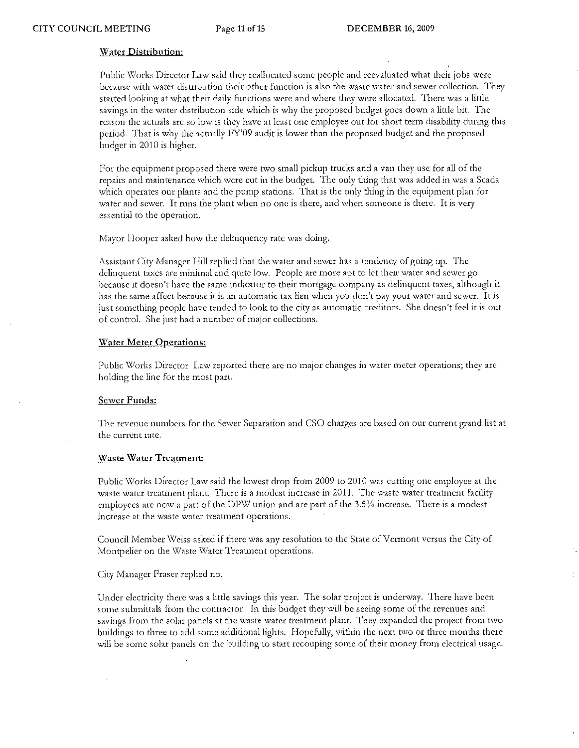# Water Distribution:

Public Works Director Law said they reallocated some people and reevaluated what their jobs were because with water distribution their other function is also the waste water and sewer collection. They started looking at what their daily functions were and where they were allocated. There was a little savings in the water distribution side which is why the proposed budget goes down a little bit. The reason the actuals arc so low is they have at least one employee out for short term disability during this period. That is why the actually FY'09 audit is lower than the proposed budget and the proposed budget in 2010 is higher.

For the equipment proposed there were two small pickup trucks and a van they use for all of the repairs and maintenance which were cut in the budget. The only thing that was added in was a Scada which operates out plants and the pump stations. That is the only thing in the equipment plan for water and sewer. It runs the plant when no one is there, and when someone is there. It is very essential to the operation.

Mayor Hooper asked how the delinquency rate was doing.

Assistant City Manager Hill replied that the waler and sewer has a tendency of going up. The delinquent taxes are minimal and quite low. People are more apt to let their water and sewer go because it doesn't have the same indicator to their mortgage company as delinquent taxes, although it has the same affect because it is an automatic tax lien when you don't pay your water and sewer. It is just something people have tended to look to the city as automatic creditors. She doesn't feel it is out of controL She just had a number of major collections.

# Water Meter Operations:

Public Works Director Law reported there are no major changes in water meter operations; they are holding the line for the most part.

### Sewer Funds:

The revenue numbers for the Sewer Separation and CSO charges arc based on our current grand list at the current rate.

# Waste Water Treatment:

Public Works Director Law said the lowest drop from 2009 to 2010 was cutting one employee at the waste water treatment plant. There is a modest increase in 2011. The waste water treatment facility employees are now a part of the DPW union and are part of the 3.5% increase. There is a modest increase at the waste water treatment operations.

Council Member Weiss asked if there was any resolution to the State of Vermont versus the City of Montpelier on the Waste Water Treatment operations.

City Manager Fraser replied no.

Under electricity there was a little savings this year. The solar project is underway. There have been some submittals from the contractor. In this budget they will be seeing some of the revenues and savings from the solar panels at the waste water treatment plant. They expanded the project from two buildings to three to add some addilionallights. Hopefully, within the next two or three months there will be some solar panels on the building to start recouping some of their money from electrical usage.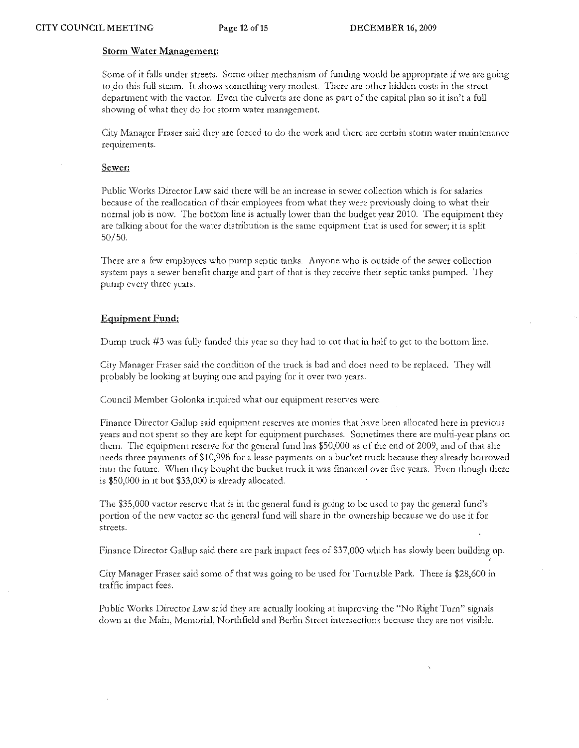## **Storm Water Management:**

Some of it falls under streets. Some other mechanism of funding would be appropriate if we are going to do this full steam. It shows something very modest. There are other hidden costs in the street department with the vactor. Even the culverts ate done as part of the capital plan so it isn't a full showing of what they do for storm water management.

City Manager Fraser said they are forced to do the work and there are certain storm water maintenance requirements.

## Sewer:

Public Works Director Law said there will be an increase in sewer collection which is for salaries because of the reallocation of their employees from what they were previously doing to what their normal job is now. The bottom line is actually lower than the budget year 2010. The equipment they are talking about for the water distribution is the same equipment that is used for sewer; it is split 50/50.

There arc a few employees who pump septic tanks. Anyone who is outside of the sewer collection system pays a sewer benefit charge and part of that is they receive their septic tanks pumped. They pump every three years.

# Equipment Fund:

Dump truck #3 was fully funded this year so they had to cut that in half to get to the bottom line.

City Manager Fraser said the condition of the truck is bad and does need to be replaced. They will probably be looking at buying one and paying for it over two years.

Council Member Golonka inquired what our equipment reserves were.

Finance Director Gallup said equipment reserves are monies that have been allocated here in previous years and not spent so they are kept for equipment purchases. Sometimes there are multi-year plans on them. The equipment reserve for the general fund has \$50,000 as of the end of 2009, and of that she needs three payments of \$10,998 for a lease payments on a bucket truck because they already borrowed into the future. When they bought the bucket truck it was financed over five years. Even though there is \$50,000 in it but \$33,000 is already allocated.

The \$35,000 vactor reserve that is in the general fund is going to be used to pay the general fund's portion of the new vactor so the general fund will share in the ownership because we do use it for streets.

Finance Director Gallup said there are park impact fees of \$37,000 which has slowly been building up. ,

City Manager Fraser said some of that was going to be used for Turntable Park. There is \$28,600 in traffic impact fees.

Public Works Director Law said they are actually looking at improving the «No Right Turn" signals down at the Main, Memorial, Northfield and Berlin Street intersections because they are not visible.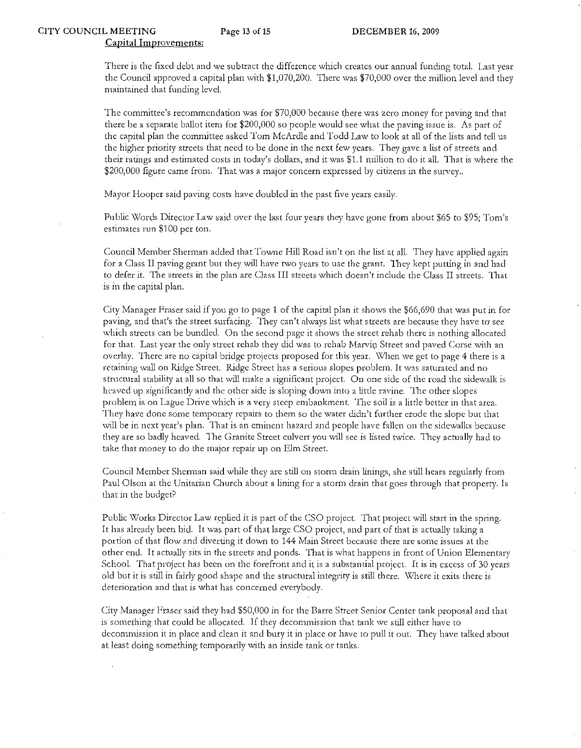There is the fixed debt and we subtract the difference which creates our annual funding total. Last year the Council approved a capital plan with \$1,070,200. There Was \$70,000 over the million level and they maintained that funding level.

The committee's recommendation was for \$70,000 because there was zero money for paving and that there be a separate ballot item for \$200,000 so people would see what the paving issue is. As part of the capital plan the committee asked Tom McArdle and Todd Law to look at all of the lists and tell us the higher prioriry streets that need to be done in the next few years. They gave a list of streets and their ratings and estimated costs in today's dollars, and it was \$1.1 million to do it all. That is where the \$200,000 figure came from. That was a major concern expressed by citizens in the survey..

Mayor Hooper said paving costs have doubled in the past five years easily.

Public Words Director Law said over the last four years they have gone from about \$65 to \$95; Tom's estimates run \$100 per ton.

Council Member Sherman added that Towne Hill Road isn't on the list at all. They have applied again for a Class 11 paving grant but they will have two years to use the grant. They kept putting in and had to defer it. The streets in the plan are Class III streets which doesn't include the Class II streets. That is in the capital plan.

City Manager Fraser said if you go to page 1 of the capital plan it shows the \$66,690 that was put in for paving, and that's the street surfacing. They can't always list what streets are because they have to see which streets can be bundled. On the second page it shows the street rehab there is nothing allocated for that. Last year the only street rehab they did was to rehab Marvin Street and paved Corse with an overlay. There are no capital bridge projects proposed for this year. \\lhen we get to page 4 there is a retaining wall on Ridge Street:. Ridge Street has a serious slopes problem. It was saturated and no structural stability at all so that wiJl make a significant project. On one side of the road the sidewalk is heaved up significantly and the other side is sloping down into a little ravine. The other slopes problem is on Lague Drive which is a very steep embankment. The soil is a little better in that area. They have done some temporary repairs to them so the water didn't further erode the slope but that will be in next year's plan. That is an eminent hazard and people have fallen on the sidewalks because they are so badly heaved. The Granite Street culvert you will sec is listed twice. They actually had to take that money to do the major repair up on Elm Street.

Council Member Sherman said while they are still on storm drain linings, she still hears regularly from Paul Olson at the Unitarian Church about a Lining for a storm drain that goes through that property. Is that in the budget?

Public Works Director Law replied it is part of the CSO project. That project will start in the spring. It has already been bid. It was part of that large CSO project, and part of that is actually taking a portion of that flow and diverting it down to 144 Main Street because there are some issues at the other end. It actually sits in the streets and ponds. That is what happens in front of Union Elementary School. That project has been on the forefront and it is a substantial project. It is in excess of 30 years old but it is still in fairly good shape and the structural integrity is still there. \X1here it exits there is deterioration and that is what has concerned evetybody.

City Manager Fraser said they had \$50,000 in for the Barre Street Senior Center tank proposal and that is something that could be allocated. If they decommission that tank we still either have to decommission it in place and clean it and bury it in place or have to pull it out. They have talked about at least doing something temporarily with an inside tank or tanks.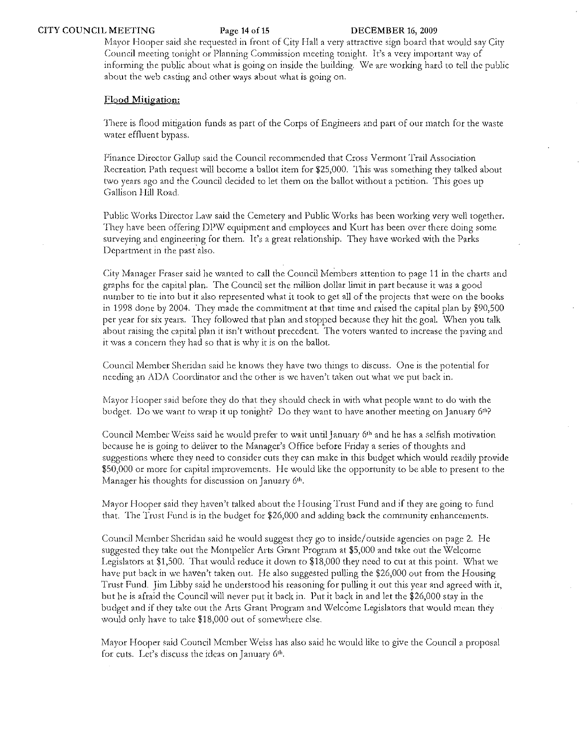Mayor Hooper said she requested in front of City Hall a very attractive sign board that would say City Council meeting tonight or Planning Commission meeting tonight. It's a very important way of informing the public about what is going on inside the building. \\Ic arc working hard to tell the public about the web casting and other ways about what is going on.

## Flood Mitigation:

There is flood mitigation funds as part of the Corps of Engineers and part of out match for the waste water effluent bypass.

F'inancc Director Gallup said the Council recommended that Cross Vermont Trail Association Recreation Path request will become a ballot item for \$25,000. This was something they talked about two years ago and the Council decided to let them on the ballot without a petition. This goes up Gallison Hill Road.

Public Works Director Law said the Cemetery and Public Works has been working very well together. They have been offering DPW equipment and employees and Kurt has been over there doing some surveying and engineering for them. It's a great relationship. They have worked with the Parks Department in the past also.

City Manager Fraser said he wanted to call the Council Members attention to page 11 in the charts and graphs for the capital plan. The Council set the million dollar limit in part because it was a good number to tie into but it also represented what it took to get all of the projects that were on the books in 1998 done by 2004. They made the commitment at that time and raised the capital plan by \$90,500 per year for six years. They followed that plan and stopped because they hit the goal. \Xlhen you talk about raising the capital plan it isn't without precedent. The voters wanted to increase the paving and it was a concern they had so that is why it is on the ballot.

Council Member Sheridan said he knows they have two things to discuss. One is the potential for needing an ADA Coordinator and the other is we haven't taken out what we put back in.

Mayor Hooper said before they do that they should check in with what people want to do with the budget. Do we want to wrap it up tonight? Do they want to have another meeting on January 6th?

Council Member Weiss said he would prefer to wait until January 6<sup>th</sup> and he has a selfish motivation because he is going to deliver to the Manager's Office before Friday a series of thoughts and suggestions where they need to consider cuts they can make in this budget which would readily provide \$50,000 or more for capital improvements. He would like the opportunity to be able to present to the Manager his thoughts for discussion on January 6th.

Mayor Hooper said they haven't talked about the Housing Trust Fund and if they are going to fund that. The Trust Fund is in the budget for \$26,000 and adding back the community enhancements.

Council Member Sheridan said he would suggest they go to inside/outside agencies on page 2. He suggested they take out the Montpelier Arts Grant Program at \$5,000 and take out the Welcome Legislators at \$1,500. That would reduce it down to \$18,000 they need to cut at this point:. \Vhat we have put back in we haven't taken out. He also suggested pulling the \$26,000 out from the Housing Trust Fund. Jim Libby said he understood his reasoning for pulling it out this year and agreed with it, but he is afraid the Council will never put it back in. Put it back in and let the \$26,000 stay in the budget and if they take out the Arts Grant Program and Welcome Legislators that would mean they would only have to take \$18,000 out of somewhere else.

Mayor Hooper said Council Member Weiss has also said he would like to give the Council a proposal for cuts. Let's discuss the ideas on January 6<sup>th</sup>.